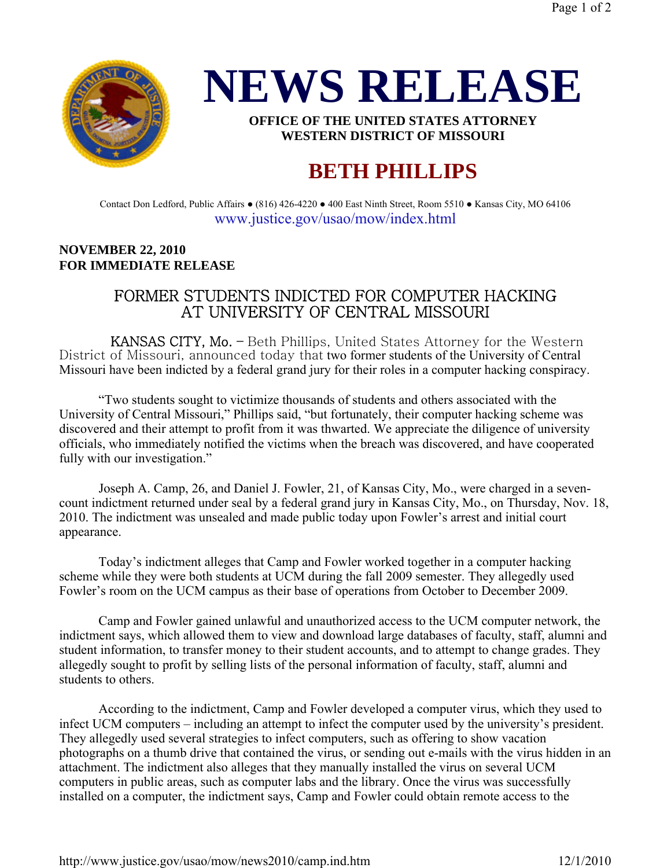



**OFFICE OF THE UNITED STATES ATTORNEY WESTERN DISTRICT OF MISSOURI**

## **BETH PHILLIPS**

Contact Don Ledford, Public Affairs ● (816) 426-4220 ● 400 East Ninth Street, Room 5510 ● Kansas City, MO 64106 www.justice.gov/usao/mow/index.html

## **NOVEMBER 22, 2010 FOR IMMEDIATE RELEASE**

## FORMER STUDENTS INDICTED FOR COMPUTER HACKING AT UNIVERSITY OF CENTRAL MISSOURI

 KANSAS CITY, Mo. – Beth Phillips, United States Attorney for the Western District of Missouri, announced today that two former students of the University of Central Missouri have been indicted by a federal grand jury for their roles in a computer hacking conspiracy.

 "Two students sought to victimize thousands of students and others associated with the University of Central Missouri," Phillips said, "but fortunately, their computer hacking scheme was discovered and their attempt to profit from it was thwarted. We appreciate the diligence of university officials, who immediately notified the victims when the breach was discovered, and have cooperated fully with our investigation."

 Joseph A. Camp, 26, and Daniel J. Fowler, 21, of Kansas City, Mo., were charged in a sevencount indictment returned under seal by a federal grand jury in Kansas City, Mo., on Thursday, Nov. 18, 2010. The indictment was unsealed and made public today upon Fowler's arrest and initial court appearance.

 Today's indictment alleges that Camp and Fowler worked together in a computer hacking scheme while they were both students at UCM during the fall 2009 semester. They allegedly used Fowler's room on the UCM campus as their base of operations from October to December 2009.

 Camp and Fowler gained unlawful and unauthorized access to the UCM computer network, the indictment says, which allowed them to view and download large databases of faculty, staff, alumni and student information, to transfer money to their student accounts, and to attempt to change grades. They allegedly sought to profit by selling lists of the personal information of faculty, staff, alumni and students to others.

 According to the indictment, Camp and Fowler developed a computer virus, which they used to infect UCM computers – including an attempt to infect the computer used by the university's president. They allegedly used several strategies to infect computers, such as offering to show vacation photographs on a thumb drive that contained the virus, or sending out e-mails with the virus hidden in an attachment. The indictment also alleges that they manually installed the virus on several UCM computers in public areas, such as computer labs and the library. Once the virus was successfully installed on a computer, the indictment says, Camp and Fowler could obtain remote access to the